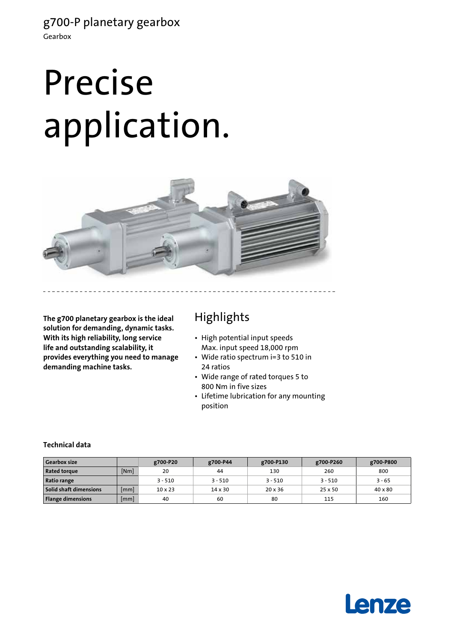# Precise application.



**The g700 planetary gearbox is the ideal solution for demanding, dynamic tasks. With its high reliability, long service life and outstanding scalability, it provides everything you need to manage demanding machine tasks.**

# Highlights

- High potential input speeds Max. input speed 18,000 rpm
- Wide ratio spectrum i=3 to 510 in 24 ratios
- Wide range of rated torques 5 to 800 Nm in five sizes
- Lifetime lubrication for any mounting position

### **Technical data**

| <b>Gearbox size</b>      |      | g700-P20       | g700-P44       | g700-P130      | g700-P260 | g700-P800      |
|--------------------------|------|----------------|----------------|----------------|-----------|----------------|
| <b>Rated torque</b>      | [Nm] | 20             | 44             | 130            | 260       | 800            |
| Ratio range              |      | $3 - 510$      | $3 - 510$      | $3 - 510$      | $3 - 510$ | $3 - 65$       |
| Solid shaft dimensions   | [mm] | $10 \times 23$ | $14 \times 30$ | $20 \times 36$ | 25 x 50   | $40 \times 80$ |
| <b>Flange dimensions</b> | [mm] | 40             | 60             | 80             | 115       | 160            |